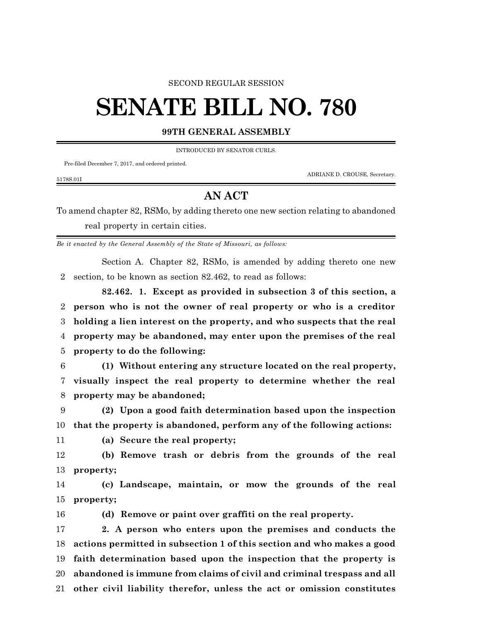## SECOND REGULAR SESSION

## **SENATE BILL NO. 780**

## **99TH GENERAL ASSEMBLY**

INTRODUCED BY SENATOR CURLS.

Pre-filed December 7, 2017, and ordered printed.

5178S.01I

ADRIANE D. CROUSE, Secretary.

## **AN ACT**

To amend chapter 82, RSMo, by adding thereto one new section relating to abandoned real property in certain cities.

*Be it enacted by the General Assembly of the State of Missouri, as follows:*

Section A. Chapter 82, RSMo, is amended by adding thereto one new section, to be known as section 82.462, to read as follows:

**82.462. 1. Except as provided in subsection 3 of this section, a person who is not the owner of real property or who is a creditor holding a lien interest on the property, and who suspects that the real property may be abandoned, may enter upon the premises of the real property to do the following:**

 **(1) Without entering any structure located on the real property, visually inspect the real property to determine whether the real property may be abandoned;**

 **(2) Upon a good faith determination based upon the inspection that the property is abandoned, perform any of the following actions:**

**(a) Secure the real property;**

 **(b) Remove trash or debris from the grounds of the real property;**

 **(c) Landscape, maintain, or mow the grounds of the real property;**

**(d) Remove or paint over graffiti on the real property.**

 **2. A person who enters upon the premises and conducts the actions permitted in subsection 1 of this section and who makes a good faith determination based upon the inspection that the property is abandoned is immune from claims of civil and criminal trespass and all other civil liability therefor, unless the act or omission constitutes**